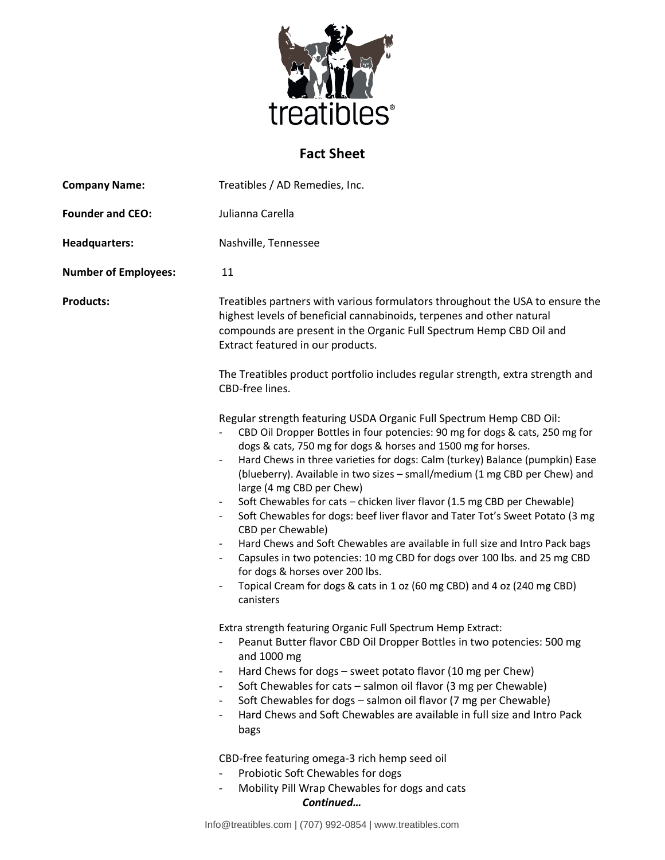

## **Fact Sheet**

| <b>Company Name:</b>        | Treatibles / AD Remedies, Inc.                                                                                                                                                                                                                                                                                                                                                                                                                                                                                                                                                                                                                                                                                                                                                                                                                                                                                                                                    |
|-----------------------------|-------------------------------------------------------------------------------------------------------------------------------------------------------------------------------------------------------------------------------------------------------------------------------------------------------------------------------------------------------------------------------------------------------------------------------------------------------------------------------------------------------------------------------------------------------------------------------------------------------------------------------------------------------------------------------------------------------------------------------------------------------------------------------------------------------------------------------------------------------------------------------------------------------------------------------------------------------------------|
| <b>Founder and CEO:</b>     | Julianna Carella                                                                                                                                                                                                                                                                                                                                                                                                                                                                                                                                                                                                                                                                                                                                                                                                                                                                                                                                                  |
| <b>Headquarters:</b>        | Nashville, Tennessee                                                                                                                                                                                                                                                                                                                                                                                                                                                                                                                                                                                                                                                                                                                                                                                                                                                                                                                                              |
| <b>Number of Employees:</b> | 11                                                                                                                                                                                                                                                                                                                                                                                                                                                                                                                                                                                                                                                                                                                                                                                                                                                                                                                                                                |
| <b>Products:</b>            | Treatibles partners with various formulators throughout the USA to ensure the<br>highest levels of beneficial cannabinoids, terpenes and other natural<br>compounds are present in the Organic Full Spectrum Hemp CBD Oil and<br>Extract featured in our products.                                                                                                                                                                                                                                                                                                                                                                                                                                                                                                                                                                                                                                                                                                |
|                             | The Treatibles product portfolio includes regular strength, extra strength and<br>CBD-free lines.                                                                                                                                                                                                                                                                                                                                                                                                                                                                                                                                                                                                                                                                                                                                                                                                                                                                 |
|                             | Regular strength featuring USDA Organic Full Spectrum Hemp CBD Oil:<br>CBD Oil Dropper Bottles in four potencies: 90 mg for dogs & cats, 250 mg for<br>dogs & cats, 750 mg for dogs & horses and 1500 mg for horses.<br>Hard Chews in three varieties for dogs: Calm (turkey) Balance (pumpkin) Ease<br>$\blacksquare$<br>(blueberry). Available in two sizes - small/medium (1 mg CBD per Chew) and<br>large (4 mg CBD per Chew)<br>Soft Chewables for cats - chicken liver flavor (1.5 mg CBD per Chewable)<br>Soft Chewables for dogs: beef liver flavor and Tater Tot's Sweet Potato (3 mg<br>$\blacksquare$<br>CBD per Chewable)<br>Hard Chews and Soft Chewables are available in full size and Intro Pack bags<br>$\blacksquare$<br>Capsules in two potencies: 10 mg CBD for dogs over 100 lbs. and 25 mg CBD<br>$\blacksquare$<br>for dogs & horses over 200 lbs.<br>Topical Cream for dogs & cats in 1 oz (60 mg CBD) and 4 oz (240 mg CBD)<br>canisters |
|                             | Extra strength featuring Organic Full Spectrum Hemp Extract:<br>Peanut Butter flavor CBD Oil Dropper Bottles in two potencies: 500 mg<br>and 1000 mg<br>Hard Chews for dogs - sweet potato flavor (10 mg per Chew)<br>$\overline{\phantom{a}}$<br>Soft Chewables for cats - salmon oil flavor (3 mg per Chewable)<br>Soft Chewables for dogs - salmon oil flavor (7 mg per Chewable)<br>$\overline{\phantom{a}}$<br>Hard Chews and Soft Chewables are available in full size and Intro Pack<br>$\overline{\phantom{a}}$<br>bags<br>CBD-free featuring omega-3 rich hemp seed oil<br>Probiotic Soft Chewables for dogs<br>Mobility Pill Wrap Chewables for dogs and cats                                                                                                                                                                                                                                                                                           |

*Continued…*